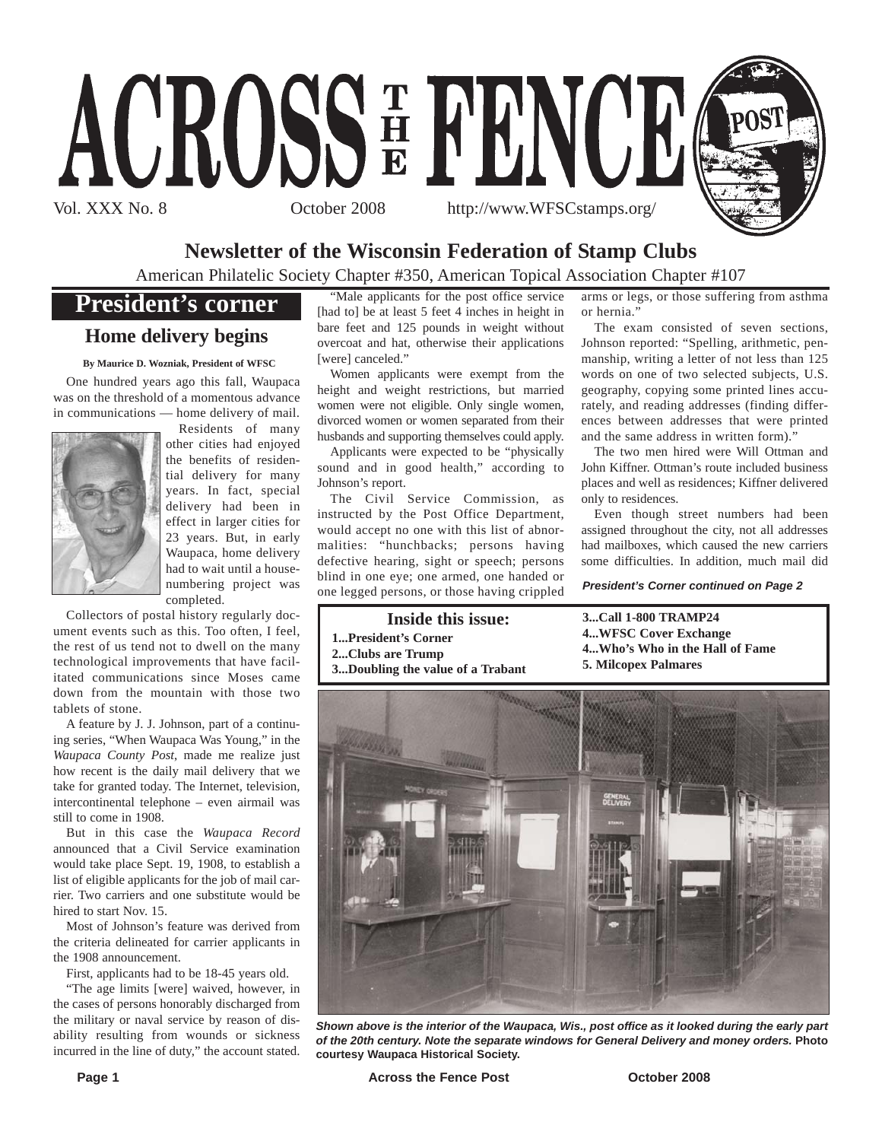

## **Newsletter of the Wisconsin Federation of Stamp Clubs**

American Philatelic Society Chapter #350, American Topical Association Chapter #107

## **President's corner**

## **Home delivery begins**

**By Maurice D. Wozniak, President of WFSC**

One hundred years ago this fall, Waupaca was on the threshold of a momentous advance in communications — home delivery of mail.



Residents of many other cities had enjoyed the benefits of residential delivery for many years. In fact, special delivery had been in effect in larger cities for 23 years. But, in early Waupaca, home delivery had to wait until a housenumbering project was completed.

Collectors of postal history regularly document events such as this. Too often, I feel, the rest of us tend not to dwell on the many technological improvements that have facilitated communications since Moses came down from the mountain with those two tablets of stone.

A feature by J. J. Johnson, part of a continuing series, "When Waupaca Was Young," in the *Waupaca County Post*, made me realize just how recent is the daily mail delivery that we take for granted today. The Internet, television, intercontinental telephone – even airmail was still to come in 1908.

But in this case the *Waupaca Record* announced that a Civil Service examination would take place Sept. 19, 1908, to establish a list of eligible applicants for the job of mail carrier. Two carriers and one substitute would be hired to start Nov. 15.

Most of Johnson's feature was derived from the criteria delineated for carrier applicants in the 1908 announcement.

First, applicants had to be 18-45 years old.

"The age limits [were] waived, however, in the cases of persons honorably discharged from the military or naval service by reason of disability resulting from wounds or sickness incurred in the line of duty," the account stated.

"Male applicants for the post office service [had to] be at least 5 feet 4 inches in height in bare feet and 125 pounds in weight without overcoat and hat, otherwise their applications [were] canceled."

Women applicants were exempt from the height and weight restrictions, but married women were not eligible. Only single women, divorced women or women separated from their husbands and supporting themselves could apply.

Applicants were expected to be "physically sound and in good health," according to Johnson's report.

The Civil Service Commission, as instructed by the Post Office Department, would accept no one with this list of abnormalities: "hunchbacks; persons having defective hearing, sight or speech; persons blind in one eye; one armed, one handed or one legged persons, or those having crippled

#### **Inside this issue:**

- **1...President's Corner**
- **2...Clubs are Trump 3...Doubling the value of a Trabant**

arms or legs, or those suffering from asthma or hernia."

The exam consisted of seven sections, Johnson reported: "Spelling, arithmetic, penmanship, writing a letter of not less than 125 words on one of two selected subjects, U.S. geography, copying some printed lines accurately, and reading addresses (finding differences between addresses that were printed and the same address in written form)."

The two men hired were Will Ottman and John Kiffner. Ottman's route included business places and well as residences; Kiffner delivered only to residences.

Even though street numbers had been assigned throughout the city, not all addresses had mailboxes, which caused the new carriers some difficulties. In addition, much mail did

*President's Corner continued on Page 2*

**3...Call 1-800 TRAMP24 4...WFSC Cover Exchange 4...Who's Who in the Hall of Fame 5. Milcopex Palmares**



*Shown above is the interior of the Waupaca, Wis., post office as it looked during the early part of the 20th century. Note the separate windows for General Delivery and money orders.* **Photo courtesy Waupaca Historical Society.**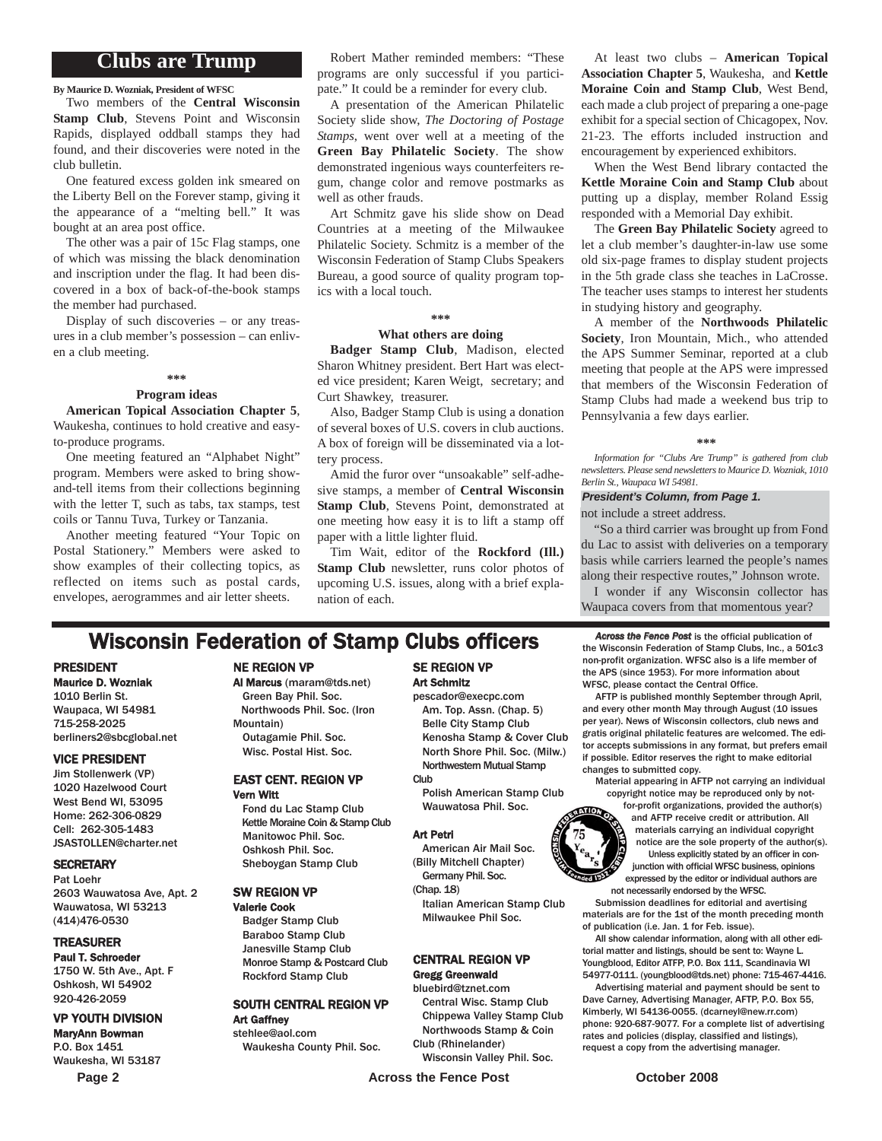## **Clubs are Trump**

**By Maurice D. Wozniak, President of WFSC**

Two members of the **Central Wisconsin Stamp Club**, Stevens Point and Wisconsin Rapids, displayed oddball stamps they had found, and their discoveries were noted in the club bulletin.

One featured excess golden ink smeared on the Liberty Bell on the Forever stamp, giving it the appearance of a "melting bell." It was bought at an area post office.

The other was a pair of 15c Flag stamps, one of which was missing the black denomination and inscription under the flag. It had been discovered in a box of back-of-the-book stamps the member had purchased.

Display of such discoveries – or any treasures in a club member's possession – can enliven a club meeting.

**\*\*\***

#### **Program ideas**

**American Topical Association Chapter 5**, Waukesha, continues to hold creative and easyto-produce programs.

One meeting featured an "Alphabet Night" program. Members were asked to bring showand-tell items from their collections beginning with the letter T, such as tabs, tax stamps, test coils or Tannu Tuva, Turkey or Tanzania.

Another meeting featured "Your Topic on Postal Stationery." Members were asked to show examples of their collecting topics, as reflected on items such as postal cards, envelopes, aerogrammes and air letter sheets.

Robert Mather reminded members: "These programs are only successful if you participate." It could be a reminder for every club.

A presentation of the American Philatelic Society slide show, *The Doctoring of Postage Stamps*, went over well at a meeting of the **Green Bay Philatelic Society**. The show demonstrated ingenious ways counterfeiters regum, change color and remove postmarks as well as other frauds.

Art Schmitz gave his slide show on Dead Countries at a meeting of the Milwaukee Philatelic Society. Schmitz is a member of the Wisconsin Federation of Stamp Clubs Speakers Bureau, a good source of quality program topics with a local touch.

#### **\*\*\***

#### **What others are doing**

**Badger Stamp Club**, Madison, elected Sharon Whitney president. Bert Hart was elected vice president; Karen Weigt, secretary; and Curt Shawkey, treasurer.

Also, Badger Stamp Club is using a donation of several boxes of U.S. covers in club auctions. A box of foreign will be disseminated via a lottery process.

Amid the furor over "unsoakable" self-adhesive stamps, a member of **Central Wisconsin Stamp Club**, Stevens Point, demonstrated at one meeting how easy it is to lift a stamp off paper with a little lighter fluid.

Tim Wait, editor of the **Rockford (Ill.) Stamp Club** newsletter, runs color photos of upcoming U.S. issues, along with a brief explanation of each.

## **Wisconsin Federation of Stamp Clubs officers** *Across the Fence Post* is the official publication of  $\frac{1}{2}$

#### PRESIDENT

Maurice D. Wozniak 1010 Berlin St. Waupaca, WI 54981 715-258-2025 berliners2@sbcglobal.net

#### VICE PRESIDENT

Jim Stollenwerk (VP) 1020 Hazelwood Court West Bend WI, 53095 Home: 262-306-0829 Cell: 262-305-1483 JSASTOLLEN@charter.net

#### **SECRETARY**

Pat Loehr 2603 Wauwatosa Ave, Apt. 2 Wauwatosa, WI 53213 (414)476-0530

#### TREASURER

Paul T. Schroeder 1750 W. 5th Ave., Apt. F Oshkosh, WI 54902 920-426-2059

#### VP YOUTH DIVISION

MaryAnn Bowman P.O. Box 1451 Waukesha, WI 53187

#### NE REGION VP

Al Marcus (maram@tds.net) Green Bay Phil. Soc.

Northwoods Phil. Soc. (Iron Mountain) Outagamie Phil. Soc. Wisc. Postal Hist. Soc.

#### EAST CENT. REGION VP Vern Witt

Fond du Lac Stamp Club Kettle Moraine Coin & Stamp Club Manitowoc Phil. Soc. Oshkosh Phil. Soc. Sheboygan Stamp Club

#### SW REGION VP

Valerie Cook Badger Stamp Club Baraboo Stamp Club Janesville Stamp Club Monroe Stamp & Postcard Club Rockford Stamp Club

#### SOUTH CENTRAL REGION VP Art Gaffney

stehlee@aol.com Waukesha County Phil. Soc.

### SE REGION VP Art Schmitz

pescador@execpc.com Am. Top. Assn. (Chap. 5) Belle City Stamp Club Kenosha Stamp & Cover Club North Shore Phil. Soc. (Milw.) Northwestern Mutual Stamp **Club** 

Polish American Stamp Club Wauwatosa Phil. Soc.

#### Art Petri

American Air Mail Soc. (Billy Mitchell Chapter) Germany Phil. Soc.

(Chap. 18)

Italian American Stamp Club Milwaukee Phil Soc.

## CENTRAL REGION VP

## Gregg Greenwald

bluebird@tznet.com Central Wisc. Stamp Club Chippewa Valley Stamp Club Northwoods Stamp & Coin Club (Rhinelander)

Wisconsin Valley Phil. Soc.

**Page 2 Across the Fence Post October 2008** 

At least two clubs – **American Topical Association Chapter 5**, Waukesha, and **Kettle Moraine Coin and Stamp Club**, West Bend, each made a club project of preparing a one-page exhibit for a special section of Chicagopex, Nov. 21-23. The efforts included instruction and encouragement by experienced exhibitors.

When the West Bend library contacted the **Kettle Moraine Coin and Stamp Club** about putting up a display, member Roland Essig responded with a Memorial Day exhibit.

The **Green Bay Philatelic Society** agreed to let a club member's daughter-in-law use some old six-page frames to display student projects in the 5th grade class she teaches in LaCrosse. The teacher uses stamps to interest her students in studying history and geography.

A member of the **Northwoods Philatelic Society**, Iron Mountain, Mich., who attended the APS Summer Seminar, reported at a club meeting that people at the APS were impressed that members of the Wisconsin Federation of Stamp Clubs had made a weekend bus trip to Pennsylvania a few days earlier.

#### **\*\*\***

*Information for "Clubs Are Trump" is gathered from club newsletters. Please send newsletters to Maurice D. Wozniak, 1010 Berlin St., Waupaca WI 54981.*

#### *President's Column, from Page 1.*

not include a street address.

"So a third carrier was brought up from Fond du Lac to assist with deliveries on a temporary basis while carriers learned the people's names along their respective routes," Johnson wrote.

I wonder if any Wisconsin collector has Waupaca covers from that momentous year?

the Wisconsin Federation of Stamp Clubs, Inc., a 501c3 non-profit organization. WFSC also is a life member of the APS (since 1953). For more information about WFSC, please contact the Central Office.

AFTP is published monthly September through April, and every other month May through August (10 issues per year). News of Wisconsin collectors, club news and gratis original philatelic features are welcomed. The editor accepts submissions in any format, but prefers email if possible. Editor reserves the right to make editorial changes to submitted copy.

Material appearing in AFTP not carrying an individual copyright notice may be reproduced only by not-

for-profit organizations, provided the author(s) and AFTP receive credit or attribution. All materials carrying an individual copyright notice are the sole property of the author(s). Unless explicitly stated by an officer in conjunction with official WFSC business, opinions expressed by the editor or individual authors are not necessarily endorsed by the WFSC.

Submission deadlines for editorial and avertising materials are for the 1st of the month preceding month of publication (i.e. Jan. 1 for Feb. issue).

All show calendar information, along with all other editorial matter and listings, should be sent to: Wayne L. Youngblood, Editor ATFP, P.O. Box 111, Scandinavia WI 54977-0111. (youngblood@tds.net) phone: 715-467-4416.

Advertising material and payment should be sent to Dave Carney, Advertising Manager, AFTP, P.O. Box 55, Kimberly, WI 54136-0055. (dcarneyl@new.rr.com) phone: 920-687-9077. For a complete list of advertising rates and policies (display, classified and listings), request a copy from the advertising manager.



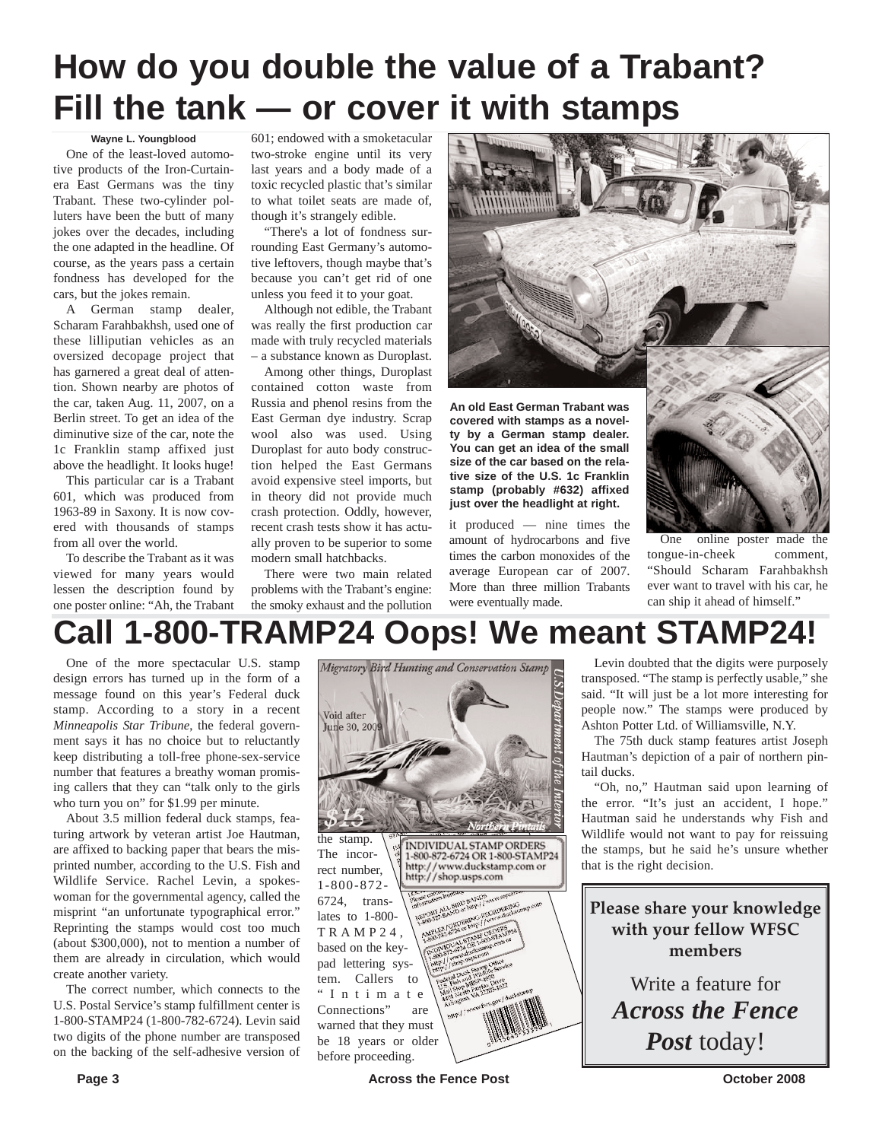# **How do you double the value of a Trabant? Fill the tank — or cover it with stamps**

#### **Wayne L. Youngblood**

One of the least-loved automotive products of the Iron-Curtainera East Germans was the tiny Trabant. These two-cylinder polluters have been the butt of many jokes over the decades, including the one adapted in the headline. Of course, as the years pass a certain fondness has developed for the cars, but the jokes remain.

A German stamp dealer, Scharam Farahbakhsh, used one of these lilliputian vehicles as an oversized decopage project that has garnered a great deal of attention. Shown nearby are photos of the car, taken Aug. 11, 2007, on a Berlin street. To get an idea of the diminutive size of the car, note the 1c Franklin stamp affixed just above the headlight. It looks huge!

This particular car is a Trabant 601, which was produced from 1963-89 in Saxony. It is now covered with thousands of stamps from all over the world.

To describe the Trabant as it was viewed for many years would lessen the description found by one poster online: "Ah, the Trabant

601; endowed with a smoketacular two-stroke engine until its very last years and a body made of a toxic recycled plastic that's similar to what toilet seats are made of, though it's strangely edible.

"There's a lot of fondness surrounding East Germany's automotive leftovers, though maybe that's because you can't get rid of one unless you feed it to your goat.

Although not edible, the Trabant was really the first production car made with truly recycled materials – a substance known as Duroplast.

Among other things, Duroplast contained cotton waste from Russia and phenol resins from the East German dye industry. Scrap wool also was used. Using Duroplast for auto body construction helped the East Germans avoid expensive steel imports, but in theory did not provide much crash protection. Oddly, however, recent crash tests show it has actually proven to be superior to some modern small hatchbacks.

There were two main related problems with the Trabant's engine: the smoky exhaust and the pollution



**An old East German Trabant was covered with stamps as a novelty by a German stamp dealer. You can get an idea of the small size of the car based on the relative size of the U.S. 1c Franklin stamp (probably #632) affixed just over the headlight at right.**

it produced — nine times the amount of hydrocarbons and five times the carbon monoxides of the average European car of 2007. More than three million Trabants were eventually made.



One online poster made the tongue-in-cheek comment, "Should Scharam Farahbakhsh ever want to travel with his car, he can ship it ahead of himself."

# **Call 1-800-TRAMP24 Oops! We meant STAMP24!**

One of the more spectacular U.S. stamp design errors has turned up in the form of a message found on this year's Federal duck stamp. According to a story in a recent *Minneapolis Star Tribune*, the federal government says it has no choice but to reluctantly keep distributing a toll-free phone-sex-service number that features a breathy woman promising callers that they can "talk only to the girls who turn you on" for \$1.99 per minute.

About 3.5 million federal duck stamps, featuring artwork by veteran artist Joe Hautman, are affixed to backing paper that bears the misprinted number, according to the U.S. Fish and Wildlife Service. Rachel Levin, a spokeswoman for the governmental agency, called the misprint "an unfortunate typographical error." Reprinting the stamps would cost too much (about \$300,000), not to mention a number of them are already in circulation, which would create another variety.

The correct number, which connects to the U.S. Postal Service's stamp fulfillment center is 1-800-STAMP24 (1-800-782-6724). Levin said two digits of the phone number are transposed on the backing of the self-adhesive version of



Levin doubted that the digits were purposely transposed. "The stamp is perfectly usable," she said. "It will just be a lot more interesting for people now." The stamps were produced by Ashton Potter Ltd. of Williamsville, N.Y.

The 75th duck stamp features artist Joseph Hautman's depiction of a pair of northern pintail ducks.

"Oh, no," Hautman said upon learning of the error. "It's just an accident, I hope." Hautman said he understands why Fish and Wildlife would not want to pay for reissuing the stamps, but he said he's unsure whether that is the right decision.

**Please share your knowledge with your fellow WFSC members**

Write a feature for *Across the Fence Post* today!

Page 3 **Across the Fence Post Across the Fence Post C CO October 2008**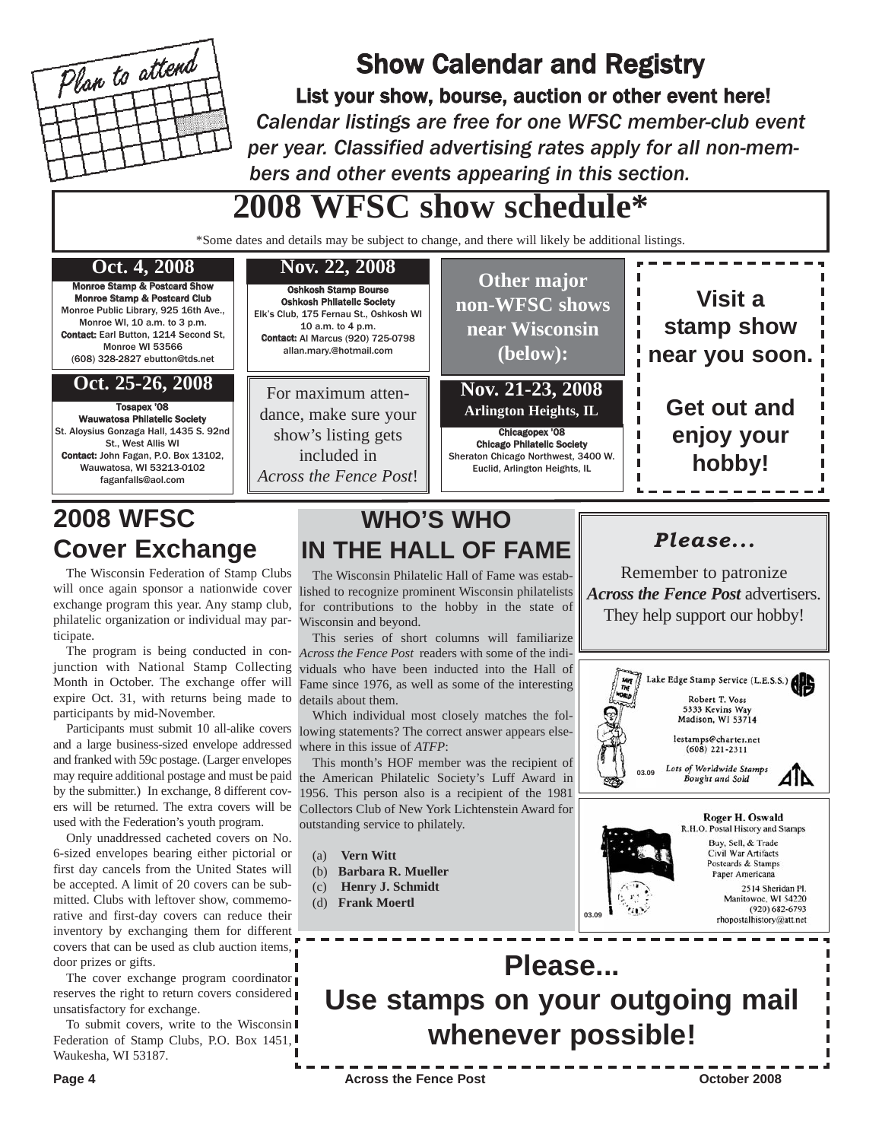

# Show Calendar and Registry

List your show, bourse, auction or other event here! *Calendar listings are free for one WFSC member-club event per year. Classified advertising rates apply for all non-members and other events appearing in this section.*

# **2008 WFSC show schedule\***

\*Some dates and details may be subject to change, and there will likely be additional listings.



# **2008 WFSC Cover Exchange**

The Wisconsin Federation of Stamp Clubs will once again sponsor a nationwide cover exchange program this year. Any stamp club, philatelic organization or individual may participate.

The program is being conducted in conjunction with National Stamp Collecting Month in October. The exchange offer will expire Oct. 31, with returns being made to participants by mid-November.

Participants must submit 10 all-alike covers and a large business-sized envelope addressed and franked with 59c postage. (Larger envelopes may require additional postage and must be paid by the submitter.) In exchange, 8 different covers will be returned. The extra covers will be used with the Federation's youth program.

Only unaddressed cacheted covers on No. 6-sized envelopes bearing either pictorial or first day cancels from the United States will be accepted. A limit of 20 covers can be submitted. Clubs with leftover show, commemorative and first-day covers can reduce their inventory by exchanging them for different covers that can be used as club auction items, door prizes or gifts.

The cover exchange program coordinator reserves the right to return covers considered unsatisfactory for exchange.

To submit covers, write to the Wisconsin Federation of Stamp Clubs, P.O. Box 1451, Waukesha, WI 53187.

The Wisconsin Philatelic Hall of Fame was established to recognize prominent Wisconsin philatelists for contributions to the hobby in the state of Wisconsin and beyond.

**WHO'S WHO**

**IN THE HALL OF FAME**

This series of short columns will familiarize *Across the Fence Post* readers with some of the individuals who have been inducted into the Hall of Fame since 1976, as well as some of the interesting details about them.

Which individual most closely matches the following statements? The correct answer appears elsewhere in this issue of *ATFP*:

This month's HOF member was the recipient of the American Philatelic Society's Luff Award in 1956. This person also is a recipient of the 1981 Collectors Club of New York Lichtenstein Award for outstanding service to philately.

- (a) **Vern Witt**
- (b) **Barbara R. Mueller**
- (c) **Henry J. Schmidt**
- (d) **Frank Moertl**



*Please...*

Remember to patronize

2514 Sheridan Pl. Manitowoc, WI 54220  $(920) 682 - 6793$ rhopostalhistory@att.net



**03.09**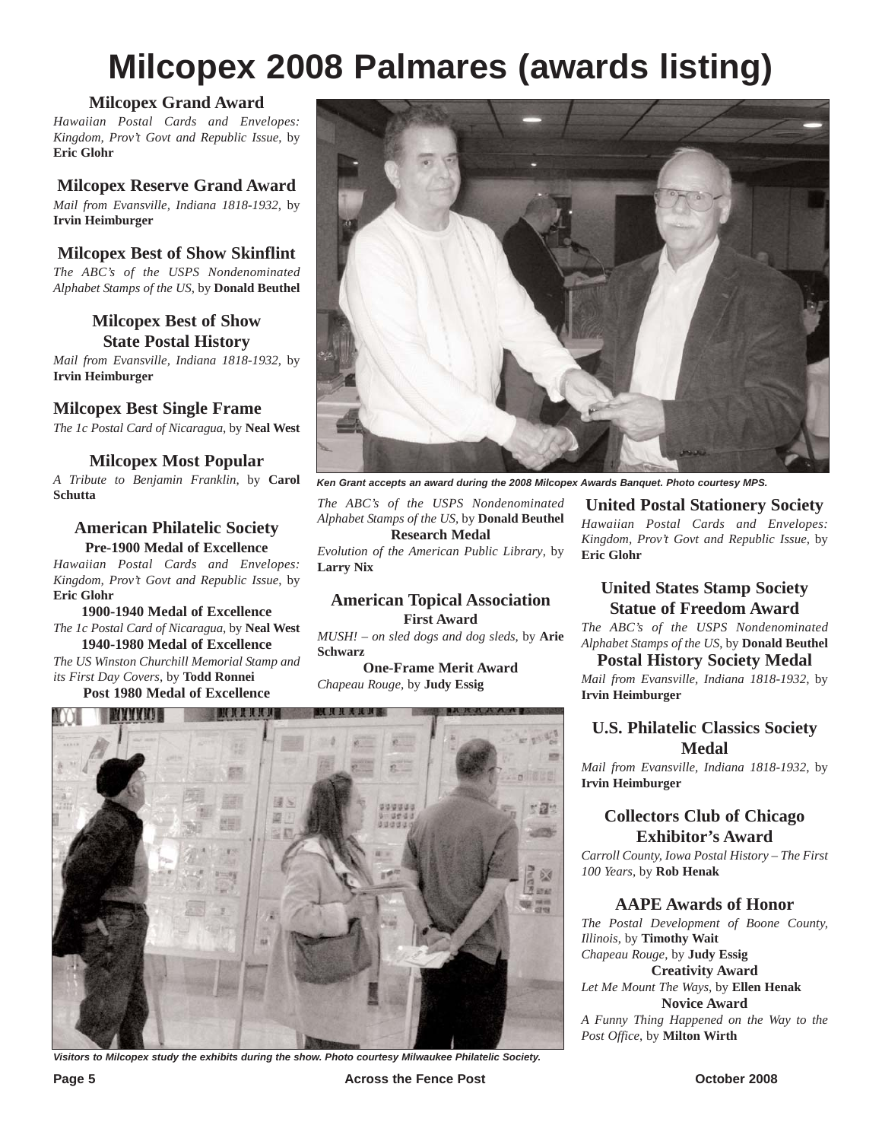# **Milcopex 2008 Palmares (awards listing)**

## **Milcopex Grand Award**

*Hawaiian Postal Cards and Envelopes: Kingdom, Prov't Govt and Republic Issue*, by **Eric Glohr**

#### **Milcopex Reserve Grand Award**

*Mail from Evansville, Indiana 1818-1932*, by **Irvin Heimburger**

### **Milcopex Best of Show Skinflint**

*The ABC's of the USPS Nondenominated Alphabet Stamps of the US*, by **Donald Beuthel**

#### **Milcopex Best of Show State Postal History**

*Mail from Evansville, Indiana 1818-1932*, by **Irvin Heimburger**

#### **Milcopex Best Single Frame**

*The 1c Postal Card of Nicaragua*, by **Neal West**

#### **Milcopex Most Popular**

*A Tribute to Benjamin Franklin*, by **Carol Schutta**

#### **American Philatelic Society Pre-1900 Medal of Excellence**

*Hawaiian Postal Cards and Envelopes: Kingdom, Prov't Govt and Republic Issue*, by **Eric Glohr**

**1900-1940 Medal of Excellence** *The 1c Postal Card of Nicaragua*, by **Neal West 1940-1980 Medal of Excellence**

*The US Winston Churchill Memorial Stamp and its First Day Covers*, by **Todd Ronnei Post 1980 Medal of Excellence**



*Ken Grant accepts an award during the 2008 Milcopex Awards Banquet. Photo courtesy MPS.*

*The ABC's of the USPS Nondenominated Alphabet Stamps of the US*, by **Donald Beuthel Research Medal**

*Evolution of the American Public Library*, by **Larry Nix**

#### **American Topical Association First Award**

*MUSH! – on sled dogs and dog sleds*, by **Arie Schwarz**

**One-Frame Merit Award** *Chapeau Rouge*, by **Judy Essig**



*Visitors to Milcopex study the exhibits during the show. Photo courtesy Milwaukee Philatelic Society.*

**United Postal Stationery Society**

*Hawaiian Postal Cards and Envelopes: Kingdom, Prov't Govt and Republic Issue*, by **Eric Glohr**

## **United States Stamp Society Statue of Freedom Award**

*The ABC's of the USPS Nondenominated Alphabet Stamps of the US*, by **Donald Beuthel**

#### **Postal History Society Medal**

*Mail from Evansville, Indiana 1818-1932*, by **Irvin Heimburger**

### **U.S. Philatelic Classics Society Medal**

*Mail from Evansville, Indiana 1818-1932*, by **Irvin Heimburger**

### **Collectors Club of Chicago Exhibitor's Award**

*Carroll County, Iowa Postal History – The First 100 Years*, by **Rob Henak**

#### **AAPE Awards of Honor**

*The Postal Development of Boone County, Illinois*, by **Timothy Wait** *Chapeau Rouge*, by **Judy Essig**

**Creativity Award**

*Let Me Mount The Ways*, by **Ellen Henak Novice Award**

*A Funny Thing Happened on the Way to the Post Office*, by **Milton Wirth**